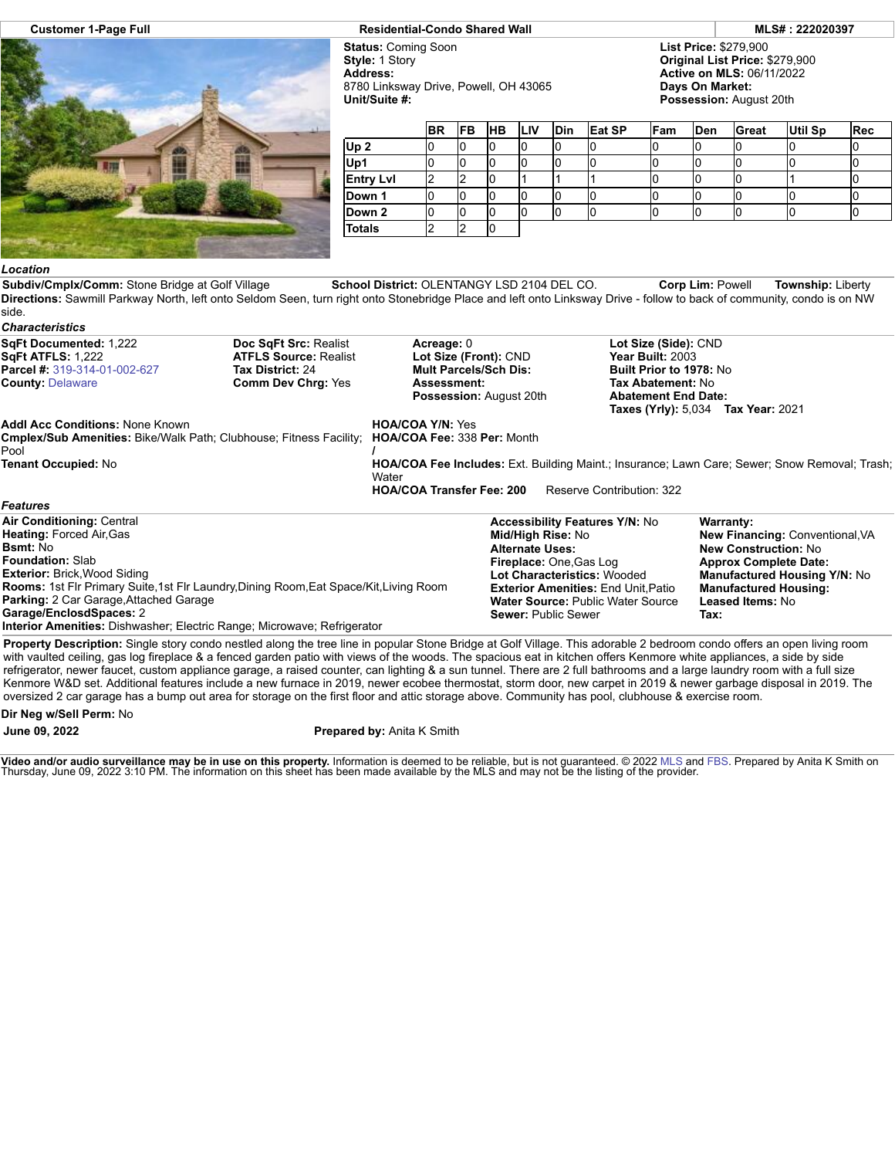

## **Customer 1-Page Full Residential-Condo Shared Wall MLS# : 222020397**

**Status:** Coming Soon **Style:** 1 Story **Address:** 8780 Linksway Drive, Powell, OH 43065 **Unit/Suite #:**

**List Price:** \$279,900 **Original List Price:** \$279,900 **Active on MLS:** 06/11/2022 **Days On Market: Possession:** August 20th

**Tax:**

|                  | <b>BR</b> | <b>IFB</b> | <b>HB</b> | <b>ILIV</b> | <b>Din</b> | Eat SP | Fam | Den | Great | Util Sp | <b>Rec</b> |
|------------------|-----------|------------|-----------|-------------|------------|--------|-----|-----|-------|---------|------------|
| Up <sub>2</sub>  |           |            | 'U        |             |            |        |     |     |       |         |            |
| Up1              |           |            |           |             |            |        |     |     |       |         |            |
| <b>Entry Lvl</b> |           |            |           |             |            |        |     |     |       |         |            |
| Down 1           |           |            | u         |             |            |        |     |     |       |         |            |
| Down 2           |           |            |           |             |            |        |     |     |       |         | ιU         |
| <b>Totals</b>    |           |            |           |             |            |        |     |     |       |         |            |

## *Location*

**Subdiv/Cmplx/Comm:** Stone Bridge at Golf Village **School District:** OLENTANGY LSD 2104 DEL CO. **Corp Lim:** Powell **Township:** Liberty **Directions:** Sawmill Parkway North, left onto Seldom Seen, turn right onto Stonebridge Place and left onto Linksway Drive - follow to back of community, condo is on NW side.

| <b>Characteristics</b>                                                                                                                                                                                                                                                                                     |                                                                      |                                                                                                                      |                                                                               |                                                                                                                                                                |                                                                                                                                                                                                                      |  |  |
|------------------------------------------------------------------------------------------------------------------------------------------------------------------------------------------------------------------------------------------------------------------------------------------------------------|----------------------------------------------------------------------|----------------------------------------------------------------------------------------------------------------------|-------------------------------------------------------------------------------|----------------------------------------------------------------------------------------------------------------------------------------------------------------|----------------------------------------------------------------------------------------------------------------------------------------------------------------------------------------------------------------------|--|--|
| SqFt Documented: 1,222<br>Doc SqFt Src: Realist<br><b>SgFt ATFLS: 1,222</b><br><b>ATFLS Source: Realist</b><br><b>Parcel #: 319-314-01-002-627</b><br><b>Tax District: 24</b><br><b>County: Delaware</b><br><b>Comm Dev Chrg: Yes</b>                                                                      |                                                                      | Acreage: 0<br>Lot Size (Front): CND<br><b>Mult Parcels/Sch Dis:</b><br>Assessment:<br><b>Possession: August 20th</b> |                                                                               |                                                                                                                                                                | Lot Size (Side): CND<br>Year Built: 2003<br><b>Built Prior to 1978: No</b><br>Tax Abatement: No<br><b>Abatement End Date:</b><br><b>Taxes (Yrly): 5,034 Tax Year: 2021</b>                                           |  |  |
| <b>Addl Acc Conditions: None Known</b><br>Cmplex/Sub Amenities: Bike/Walk Path; Clubhouse; Fitness Facility; HOA/COA Fee: 338 Per: Month<br>Pool<br><b>Tenant Occupied: No</b>                                                                                                                             | <b>HOA/COA Y/N: Yes</b><br>Water<br><b>HOA/COA Transfer Fee: 200</b> | <b>HOA/COA Fee Includes:</b> Ext. Building Maint.; Insurance; Lawn Care; Sewer; Snow Removal; Trash;                 |                                                                               |                                                                                                                                                                |                                                                                                                                                                                                                      |  |  |
| <b>Features</b>                                                                                                                                                                                                                                                                                            |                                                                      |                                                                                                                      |                                                                               |                                                                                                                                                                |                                                                                                                                                                                                                      |  |  |
| <b>Air Conditioning: Central</b><br><b>Heating: Forced Air, Gas</b><br><b>Bsmt:</b> No<br><b>Foundation: Slab</b><br><b>Exterior: Brick, Wood Siding</b><br><b>Rooms: 1st Flr Primary Suite, 1st Flr Laundry, Dining Room, Eat Space/Kit, Living Room</b><br><b>Parking:</b> 2 Car Garage, Attached Garage |                                                                      |                                                                                                                      | Mid/High Rise: No<br><b>Alternate Uses:</b><br><b>Fireplace: One, Gas Log</b> | <b>Accessibility Features Y/N: No</b><br>Lot Characteristics: Wooded<br><b>Exterior Amenities: End Unit, Patio</b><br><b>Water Source: Public Water Source</b> | <b>Warranty:</b><br><b>New Financing: Conventional, VA</b><br><b>New Construction: No</b><br><b>Approx Complete Date:</b><br><b>Manufactured Housing Y/N: No</b><br><b>Manufactured Housing:</b><br>Leased Items: No |  |  |

**Garage/EnclosdSpaces:** 2

**Interior Amenities:** Dishwasher; Electric Range; Microwave; Refrigerator

**Property Description:** Single story condo nestled along the tree line in popular Stone Bridge at Golf Village. This adorable 2 bedroom condo offers an open living room with vaulted ceiling, gas log fireplace & a fenced garden patio with views of the woods. The spacious eat in kitchen offers Kenmore white appliances, a side by side refrigerator, newer faucet, custom appliance garage, a raised counter, can lighting & a sun tunnel. There are 2 full bathrooms and a large laundry room with a full size Kenmore W&D set. Additional features include a new furnace in 2019, newer ecobee thermostat, storm door, new carpet in 2019 & newer garbage disposal in 2019. The oversized 2 car garage has a bump out area for storage on the first floor and attic storage above. Community has pool, clubhouse & exercise room.

**Sewer:** Public Sewer

**Dir Neg w/Sell Perm:** No

**June 09, 2022 Prepared by:** Anita K Smith

**Video and/or audio surveillance may be in use on this property.** Information is deemed to be reliable, but is not guaranteed. © 2022 [MLS](http://www.columbusrealtors.com/) and [FBS](http://www.flexmls.com/copyright_notice.html?2). Prepared by Anita K Smith on<br>Thursday, June 09, 2022 3:10 PM. The informati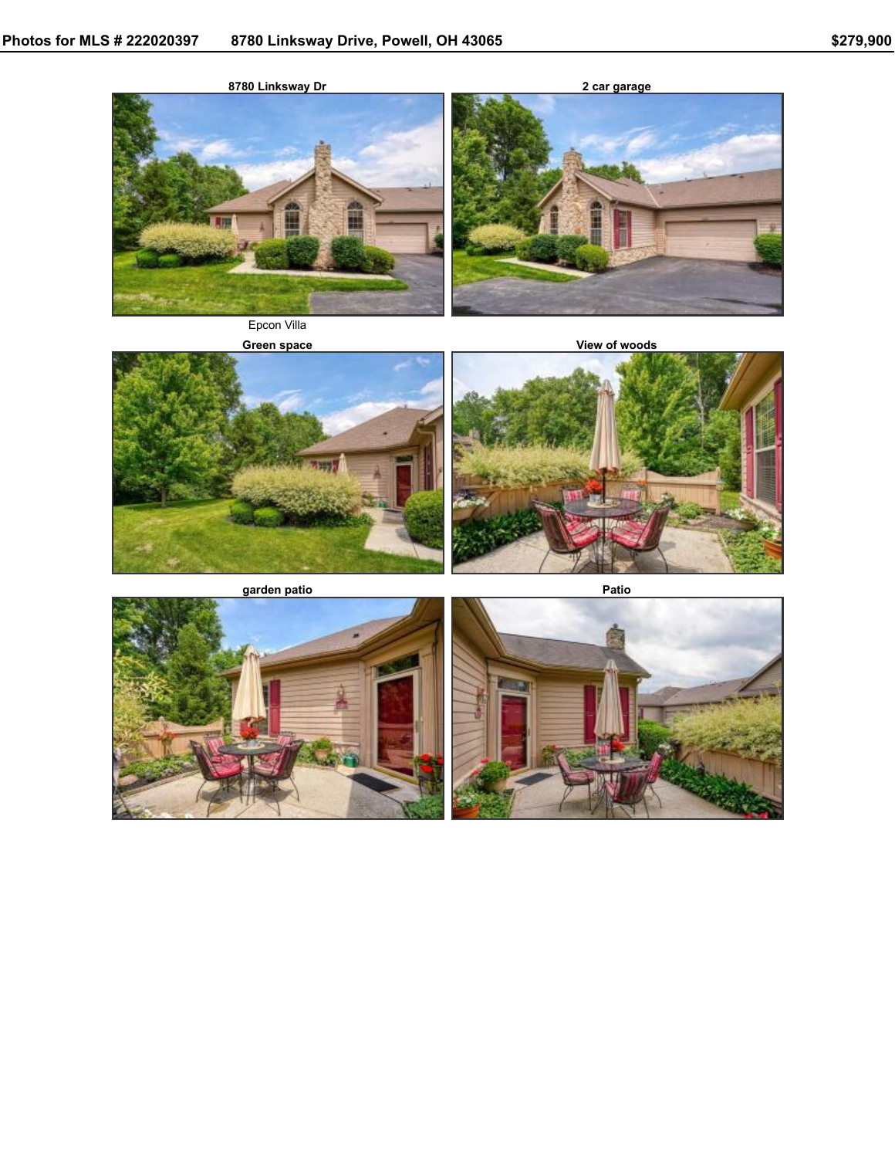

**Green** space **View** of woods









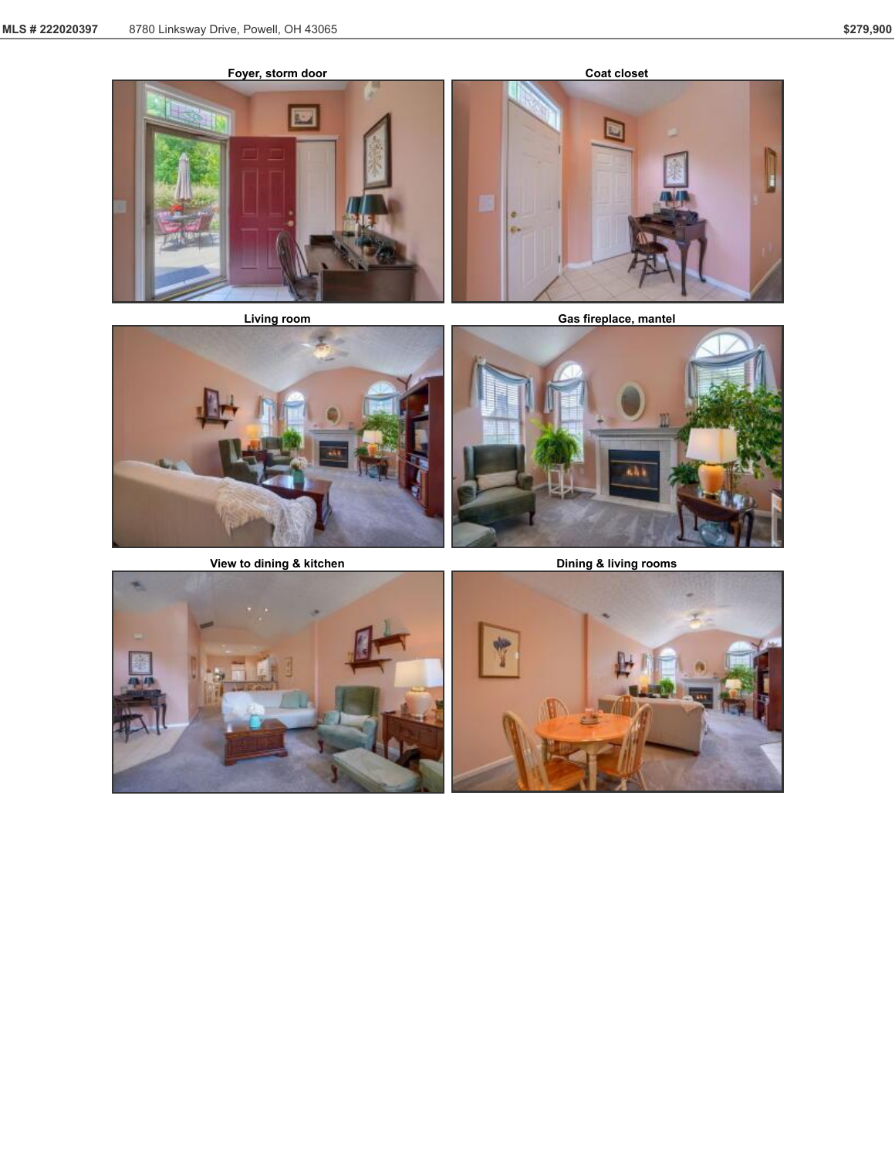









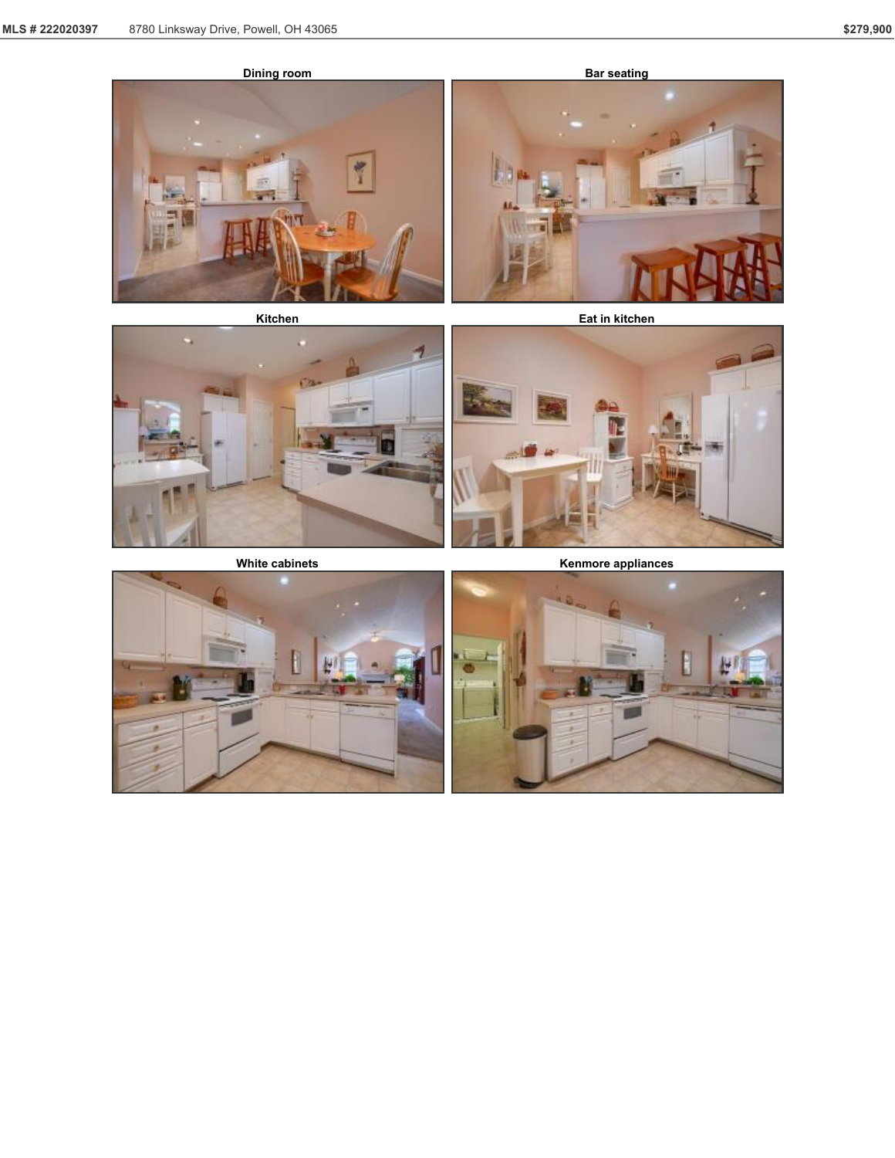





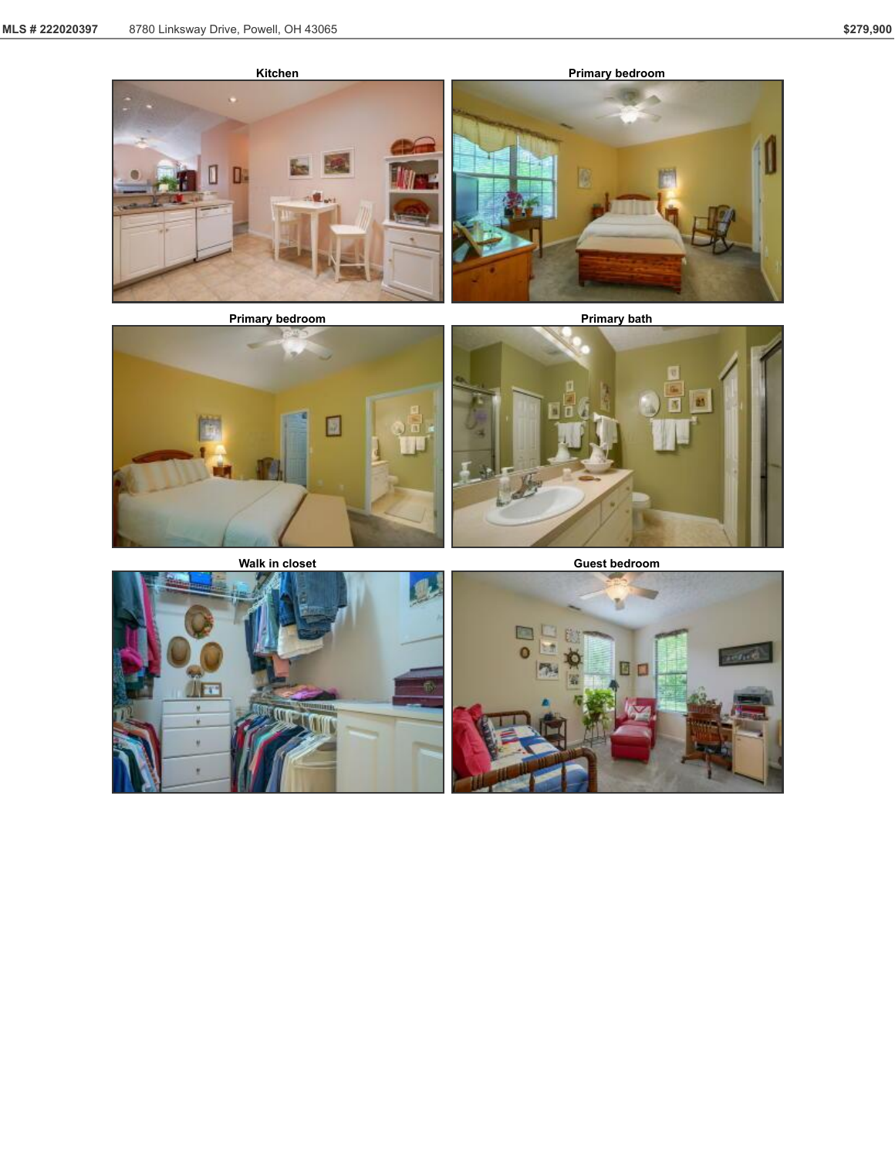